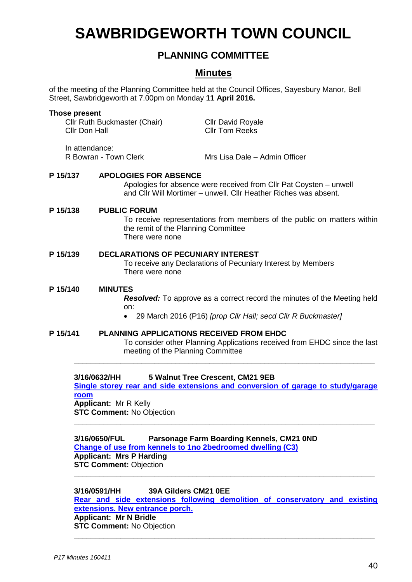# **SAWBRIDGEWORTH TOWN COUNCIL**

# **PLANNING COMMITTEE**

# **Minutes**

of the meeting of the Planning Committee held at the Council Offices, Sayesbury Manor, Bell Street, Sawbridgeworth at 7.00pm on Monday **11 April 2016.**

| Those present                                                                                                                                                                      | Cllr Ruth Buckmaster (Chair)<br>Cllr Don Hall                                                                                | <b>Cllr David Royale</b><br><b>CIIr Tom Reeks</b>                                                              |  |
|------------------------------------------------------------------------------------------------------------------------------------------------------------------------------------|------------------------------------------------------------------------------------------------------------------------------|----------------------------------------------------------------------------------------------------------------|--|
|                                                                                                                                                                                    | In attendance:<br>R Bowran - Town Clerk                                                                                      | Mrs Lisa Dale – Admin Officer                                                                                  |  |
| P 15/137<br><b>APOLOGIES FOR ABSENCE</b><br>Apologies for absence were received from Cllr Pat Coysten – unwell<br>and Cllr Will Mortimer – unwell. Cllr Heather Riches was absent. |                                                                                                                              |                                                                                                                |  |
| P 15/138                                                                                                                                                                           | <b>PUBLIC FORUM</b><br>There were none                                                                                       | To receive representations from members of the public on matters within<br>the remit of the Planning Committee |  |
| P 15/139                                                                                                                                                                           | <b>DECLARATIONS OF PECUNIARY INTEREST</b><br>To receive any Declarations of Pecuniary Interest by Members<br>There were none |                                                                                                                |  |
| P 15/140                                                                                                                                                                           | <b>MINUTES</b><br><b>Resolved:</b> To approve as a correct record the minutes of the Meeting held<br>on:                     |                                                                                                                |  |

- 29 March 2016 (P16) *[prop Cllr Hall; secd Cllr R Buckmaster]*
- **P 15/141 PLANNING APPLICATIONS RECEIVED FROM EHDC** To consider other Planning Applications received from EHDC since the last meeting of the Planning Committee **\_\_\_\_\_\_\_\_\_\_\_\_\_\_\_\_\_\_\_\_\_\_\_\_\_\_\_\_\_\_\_\_\_\_\_\_\_\_\_\_\_\_\_\_\_\_\_\_\_\_\_\_\_\_\_\_\_\_\_\_\_\_\_\_\_\_\_\_\_\_\_**

#### **3/16/0632/HH 5 Walnut Tree Crescent, CM21 9EB**

**[Single storey rear and side extensions and conversion of garage to study/garage](https://publicaccess.eastherts.gov.uk/online-applications/applicationDetails.do?activeTab=summary&keyVal=O46HEBGL00X00)  [room](https://publicaccess.eastherts.gov.uk/online-applications/applicationDetails.do?activeTab=summary&keyVal=O46HEBGL00X00) Applicant:** Mr R Kelly **STC Comment:** No Objection

**\_\_\_\_\_\_\_\_\_\_\_\_\_\_\_\_\_\_\_\_\_\_\_\_\_\_\_\_\_\_\_\_\_\_\_\_\_\_\_\_\_\_\_\_\_\_\_\_\_\_\_\_\_\_\_\_\_\_\_\_\_\_\_\_\_\_\_\_\_\_\_**

**3/16/0650/FUL Parsonage Farm Boarding Kennels, CM21 0ND [Change of use from kennels to 1no 2bedroomed dwelling \(C3\)](https://publicaccess.eastherts.gov.uk/online-applications/applicationDetails.do?activeTab=summary&keyVal=O48SJYGLJ4X00&prevPage=inTray)  Applicant: Mrs P Harding STC Comment: Objection \_\_\_\_\_\_\_\_\_\_\_\_\_\_\_\_\_\_\_\_\_\_\_\_\_\_\_\_\_\_\_\_\_\_\_\_\_\_\_\_\_\_\_\_\_\_\_\_\_\_\_\_\_\_\_\_\_\_\_\_\_\_\_\_\_\_\_\_\_\_\_**

**3/16/0591/HH 39A Gilders CM21 0EE [Rear and side extensions following demolition of conservatory and existing](https://publicaccess.eastherts.gov.uk/online-applications/applicationDetails.do?activeTab=summary&keyVal=O3VTX2GLJ1300&prevPage=inTray)  [extensions. New entrance porch.](https://publicaccess.eastherts.gov.uk/online-applications/applicationDetails.do?activeTab=summary&keyVal=O3VTX2GLJ1300&prevPage=inTray)  Applicant: Mr N Bridle STC Comment:** No Objection **\_\_\_\_\_\_\_\_\_\_\_\_\_\_\_\_\_\_\_\_\_\_\_\_\_\_\_\_\_\_\_\_\_\_\_\_\_\_\_\_\_\_\_\_\_\_\_\_\_\_\_\_\_\_\_\_\_\_\_\_\_\_\_\_\_\_\_\_\_\_\_**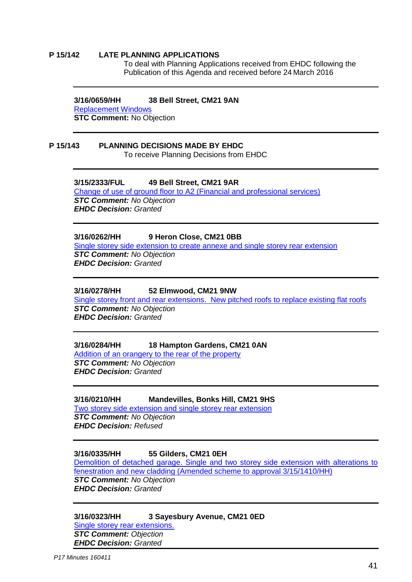#### **P 15/142 LATE PLANNING APPLICATIONS**

To deal with Planning Applications received from EHDC following the Publication of this Agenda and received before 24 March 2016

#### **3/16/0659/HH 38 Bell Street, CM21 9AN**

Replacement Windows

**STC Comment: No Objection** 

# **P 15/143 PLANNING DECISIONS MADE BY EHDC**

To receive Planning Decisions from EHDC

## **3/15/2333/FUL 49 Bell Street, CM21 9AR**

[Change of use of ground floor to A2 \(Financial and professional services\)](https://publicaccess.eastherts.gov.uk/online-applications/applicationDetails.do?activeTab=summary&keyVal=NY9Z4VGLHP800) *STC Comment: No Objection EHDC Decision: Granted*

# **3/16/0262/HH 9 Heron Close, CM21 0BB**

[Single storey side extension to create annexe and single storey rear extension](https://publicaccess.eastherts.gov.uk/online-applications/applicationDetails.do?activeTab=documents&keyVal=O215VJGLIJK00) *STC Comment: No Objection EHDC Decision: Granted*

#### **3/16/0278/HH 52 Elmwood, CM21 9NW**

[Single storey front and rear extensions. New pitched roofs to replace existing flat roofs](https://publicaccess.eastherts.gov.uk/online-applications/applicationDetails.do?activeTab=summary&keyVal=O230JNGLIKD00) *STC Comment: No Objection EHDC Decision: Granted*

# **3/16/0284/HH 18 Hampton Gardens, CM21 0AN**

[Addition of an orangery to the rear of the property](https://publicaccess.eastherts.gov.uk/online-applications/applicationDetails.do?activeTab=summary&keyVal=O248Y4GLIKM00) *STC Comment: No Objection EHDC Decision: Granted*

# **3/16/0210/HH Mandevilles, Bonks Hill, CM21 9HS**

Two storey side extension and single storey rear extension *STC Comment: No Objection EHDC Decision: Refused*

# **3/16/0335/HH 55 Gilders, CM21 0E[H](https://publicaccess.eastherts.gov.uk/online-applications/applicationDetails.do?activeTab=documents&keyVal=O215VJGLIJK00)**

[Demolition of detached garage. Single and two storey side extension with](https://publicaccess.eastherts.gov.uk/online-applications/applicationDetails.do?activeTab=documents&keyVal=O215VJGLIJK00) alterations to [fenestration and new cladding \(Amended scheme to approval 3/15/1410/HH\)](https://publicaccess.eastherts.gov.uk/online-applications/applicationDetails.do?activeTab=documents&keyVal=O215VJGLIJK00) *STC Comment: No Objection EHDC Decision: Granted*

### **3/16/0323/HH 3 Sayesbury Avenue, CM21 0ED** [Single storey rear extensions.](https://publicaccess.eastherts.gov.uk/online-applications/applicationDetails.do?activeTab=summary&keyVal=O230JNGLIKD00) *STC Comment: Objection*

*EHDC Decision: Granted*